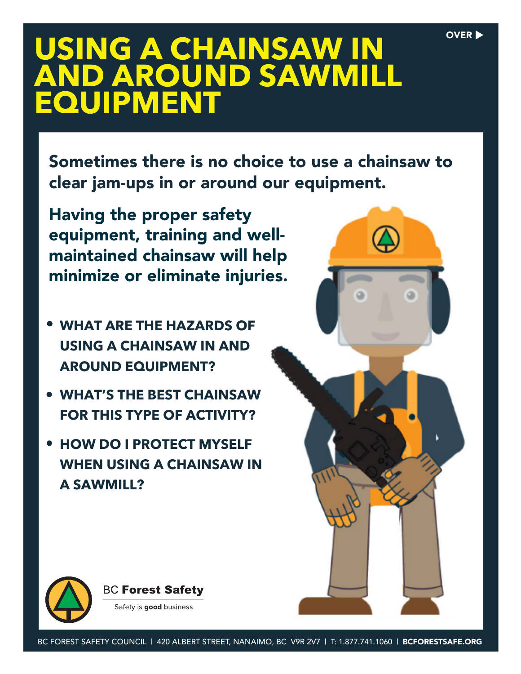#### OVER  $\blacktriangleright$

# **USING A CHAINSAW IN AND AROUND SAWMILL EQUIPMENT**

Sometimes there is no choice to use a chainsaw to clear jam-ups in or around our equipment.

Having the proper safety equipment, training and wellmaintained chainsaw will help minimize or eliminate injuries.

- **WHAT ARE THE HAZARDS OF USING A CHAINSAW IN AND AROUND EQUIPMENT?**
- **WHAT'S THE BEST CHAINSAW FOR THIS TYPE OF ACTIVITY?**
- **HOW DO I PROTECT MYSELF WHEN USING A CHAINSAW IN A SAWMILL?**





Safety is good business